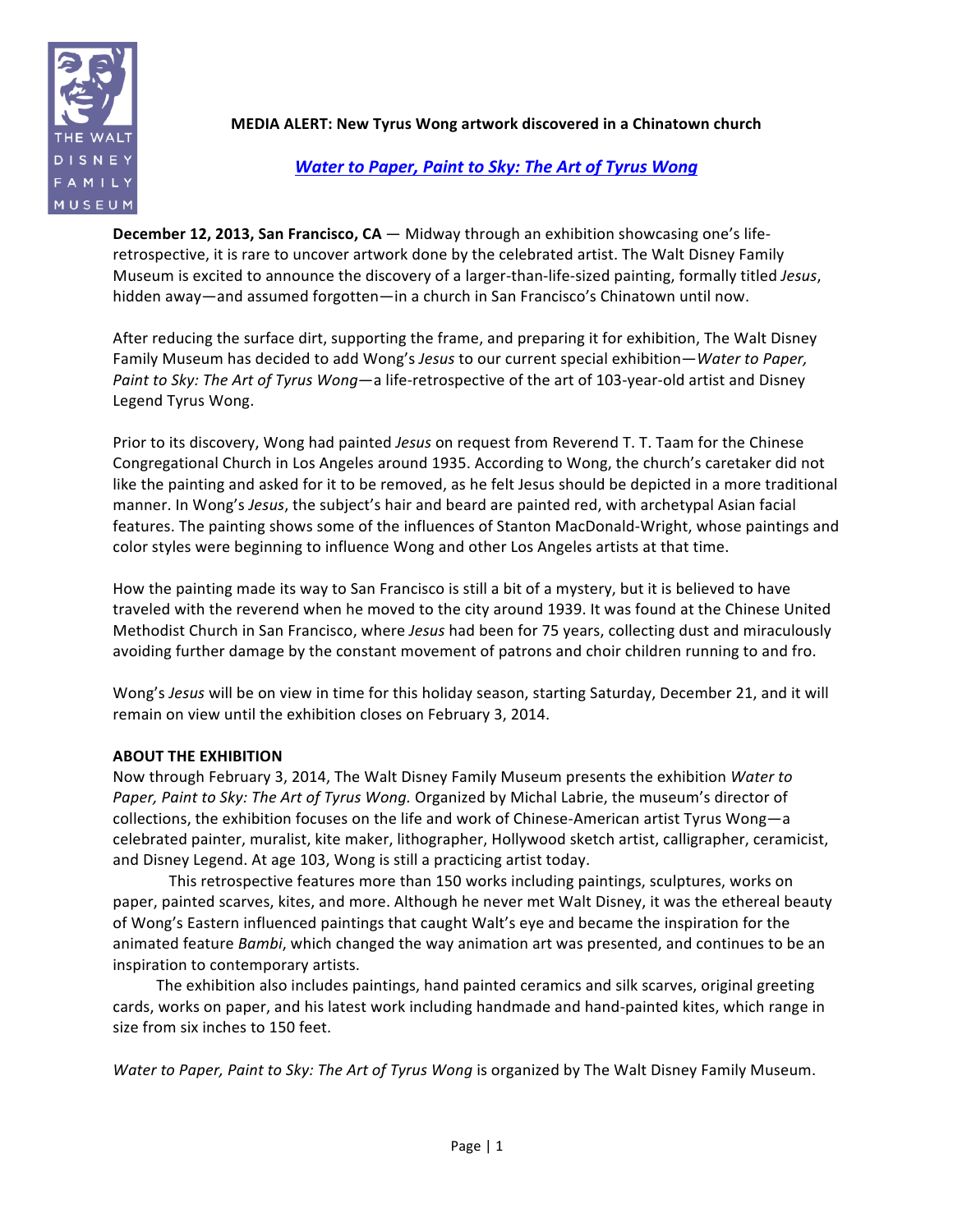

**MEDIA ALERT: New Tyrus Wong artwork discovered in a Chinatown church** 

## *Water to Paper, Paint to Sky: The Art of Tyrus Wong*

**December 12, 2013, San Francisco, CA** — Midway through an exhibition showcasing one's liferetrospective, it is rare to uncover artwork done by the celebrated artist. The Walt Disney Family Museum is excited to announce the discovery of a larger-than-life-sized painting, formally titled Jesus, hidden away—and assumed forgotten—in a church in San Francisco's Chinatown until now.

After reducing the surface dirt, supporting the frame, and preparing it for exhibition, The Walt Disney Family Museum has decided to add Wong's Jesus to our current special exhibition—*Water to Paper, Paint to Sky: The Art of Tyrus Wong—a life-retrospective of the art of 103-year-old artist and Disney* Legend Tyrus Wong.

Prior to its discovery, Wong had painted *Jesus* on request from Reverend T. T. Taam for the Chinese Congregational Church in Los Angeles around 1935. According to Wong, the church's caretaker did not like the painting and asked for it to be removed, as he felt Jesus should be depicted in a more traditional manner. In Wong's Jesus, the subject's hair and beard are painted red, with archetypal Asian facial features. The painting shows some of the influences of Stanton MacDonald-Wright, whose paintings and color styles were beginning to influence Wong and other Los Angeles artists at that time.

How the painting made its way to San Francisco is still a bit of a mystery, but it is believed to have traveled with the reverend when he moved to the city around 1939. It was found at the Chinese United Methodist Church in San Francisco, where *Jesus* had been for 75 years, collecting dust and miraculously avoiding further damage by the constant movement of patrons and choir children running to and fro.

Wong's *Jesus* will be on view in time for this holiday season, starting Saturday, December 21, and it will remain on view until the exhibition closes on February 3, 2014.

## **ABOUT THE EXHIBITION**

Now through February 3, 2014, The Walt Disney Family Museum presents the exhibition Water to *Paper, Paint to Sky: The Art of Tyrus Wong.* Organized by Michal Labrie, the museum's director of collections, the exhibition focuses on the life and work of Chinese-American artist Tyrus Wong—a celebrated painter, muralist, kite maker, lithographer, Hollywood sketch artist, calligrapher, ceramicist, and Disney Legend. At age 103, Wong is still a practicing artist today.

This retrospective features more than 150 works including paintings, sculptures, works on paper, painted scarves, kites, and more. Although he never met Walt Disney, it was the ethereal beauty of Wong's Eastern influenced paintings that caught Walt's eye and became the inspiration for the animated feature *Bambi*, which changed the way animation art was presented, and continues to be an inspiration to contemporary artists.

The exhibition also includes paintings, hand painted ceramics and silk scarves, original greeting cards, works on paper, and his latest work including handmade and hand-painted kites, which range in size from six inches to 150 feet.

*Water to Paper, Paint to Sky: The Art of Tyrus Wong is organized by The Walt Disney Family Museum.*